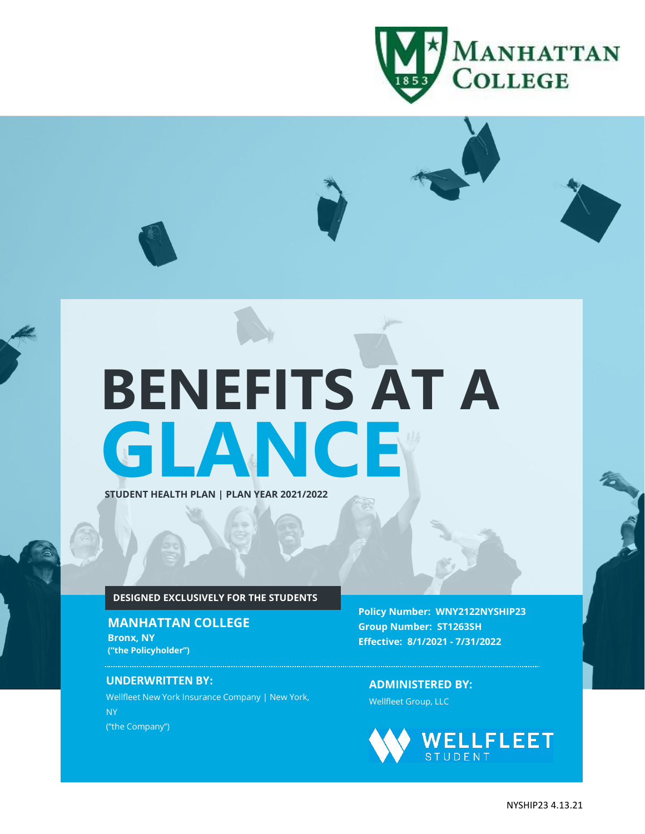

# **GLANCE BENEFITS AT A**

### **STUDENT HEALTH PLAN | PLAN YEAR 2021/2022**

#### **DESIGNED EXCLUSIVELY FOR THE STUDENTS**

## **MANHATTAN COLLEGE Bronx, NY ("the Policyholder")**

#### **UNDERWRITTEN BY:**

**OF:**

Wellfleet New York Insurance Company | New York, NY ("the Company")

**Policy Number: WNY2122NYSHIP23 Group Number: ST1263SH Effective: 8/1/2021 - 7/31/2022**

**ADMINISTERED BY:** Wellfleet Group, LLC

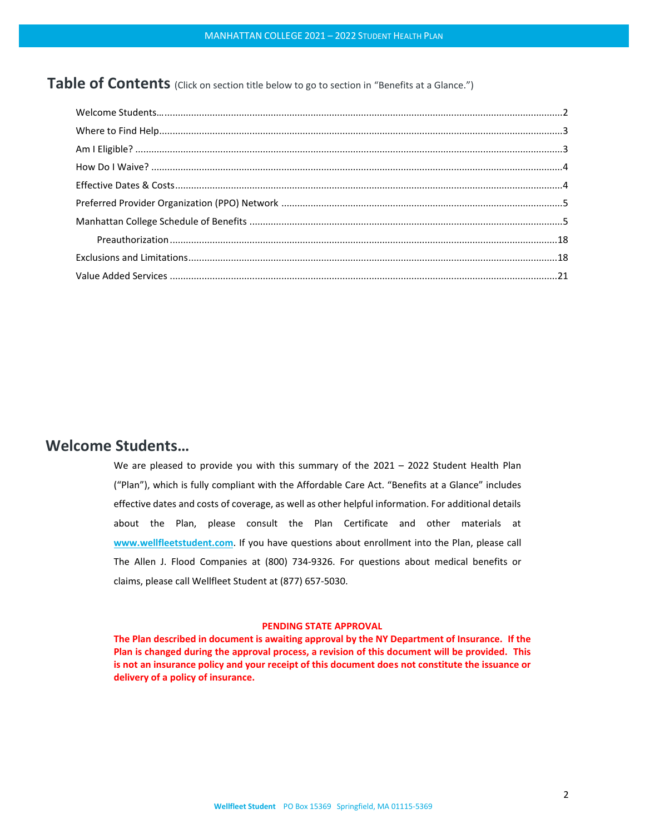Table of Contents (Click on section title below to go to section in "Benefits at a Glance.")

## <span id="page-1-0"></span>**Welcome Students…**

We are pleased to provide you with this summary of the 2021 – 2022 Student Health Plan ("Plan"), which is fully compliant with the Affordable Care Act. "Benefits at a Glance" includes effective dates and costs of coverage, as well as other helpful information. For additional details about the Plan, please consult the Plan Certificate and other materials at **[www.wellfleetstudent.com](http://www.wellfleetstudent.com/)**. If you have questions about enrollment into the Plan, please call The Allen J. Flood Companies at (800) 734-9326. For questions about medical benefits or claims, please call Wellfleet Student at (877) 657-5030.

#### **PENDING STATE APPROVAL**

**The Plan described in document is awaiting approval by the NY Department of Insurance. If the Plan is changed during the approval process, a revision of this document will be provided. This is not an insurance policy and your receipt of this document does not constitute the issuance or delivery of a policy of insurance.**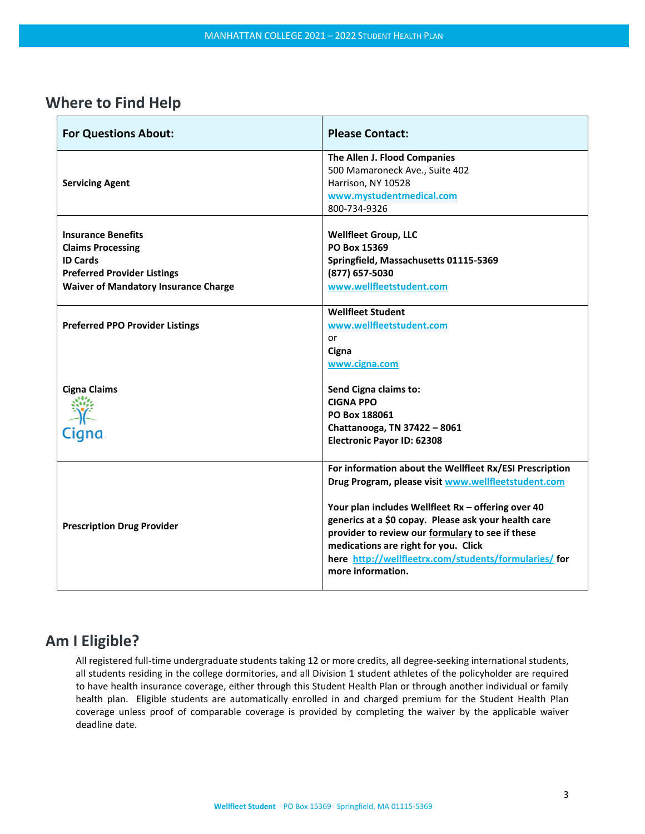# <span id="page-2-0"></span>**Where to Find Help**

| <b>For Questions About:</b>                 | <b>Please Contact:</b>                                         |
|---------------------------------------------|----------------------------------------------------------------|
|                                             | The Allen J. Flood Companies<br>500 Mamaroneck Ave., Suite 402 |
| <b>Servicing Agent</b>                      | Harrison, NY 10528                                             |
|                                             | www.mystudentmedical.com                                       |
|                                             | 800-734-9326                                                   |
|                                             |                                                                |
| <b>Insurance Benefits</b>                   | <b>Wellfleet Group, LLC</b>                                    |
| <b>Claims Processing</b>                    | PO Box 15369                                                   |
| <b>ID Cards</b>                             | Springfield, Massachusetts 01115-5369                          |
| <b>Preferred Provider Listings</b>          | (877) 657-5030                                                 |
| <b>Waiver of Mandatory Insurance Charge</b> | www.wellfleetstudent.com                                       |
|                                             | <b>Wellfleet Student</b>                                       |
|                                             |                                                                |
| <b>Preferred PPO Provider Listings</b>      | www.wellfleetstudent.com                                       |
|                                             | or                                                             |
|                                             | Cigna                                                          |
|                                             | www.cigna.com                                                  |
| <b>Cigna Claims</b>                         | Send Cigna claims to:                                          |
|                                             | <b>CIGNA PPO</b>                                               |
|                                             | PO Box 188061                                                  |
|                                             | Chattanooga, TN 37422 - 8061                                   |
| Cigna                                       | <b>Electronic Payor ID: 62308</b>                              |
|                                             |                                                                |
|                                             | For information about the Wellfleet Rx/ESI Prescription        |
|                                             | Drug Program, please visit www.wellfleetstudent.com            |
|                                             |                                                                |
|                                             | Your plan includes Wellfleet Rx - offering over 40             |
|                                             | generics at a \$0 copay. Please ask your health care           |
| <b>Prescription Drug Provider</b>           | provider to review our formulary to see if these               |
|                                             | medications are right for you. Click                           |
|                                             | here http://wellfleetrx.com/students/formularies/ for          |
|                                             | more information.                                              |
|                                             |                                                                |

# <span id="page-2-1"></span>**Am I Eligible?**

All registered full-time undergraduate students taking 12 or more credits, all degree-seeking international students, all students residing in the college dormitories, and all Division 1 student athletes of the policyholder are required to have health insurance coverage, either through this Student Health Plan or through another individual or family health plan. Eligible students are automatically enrolled in and charged premium for the Student Health Plan coverage unless proof of comparable coverage is provided by completing the waiver by the applicable waiver deadline date.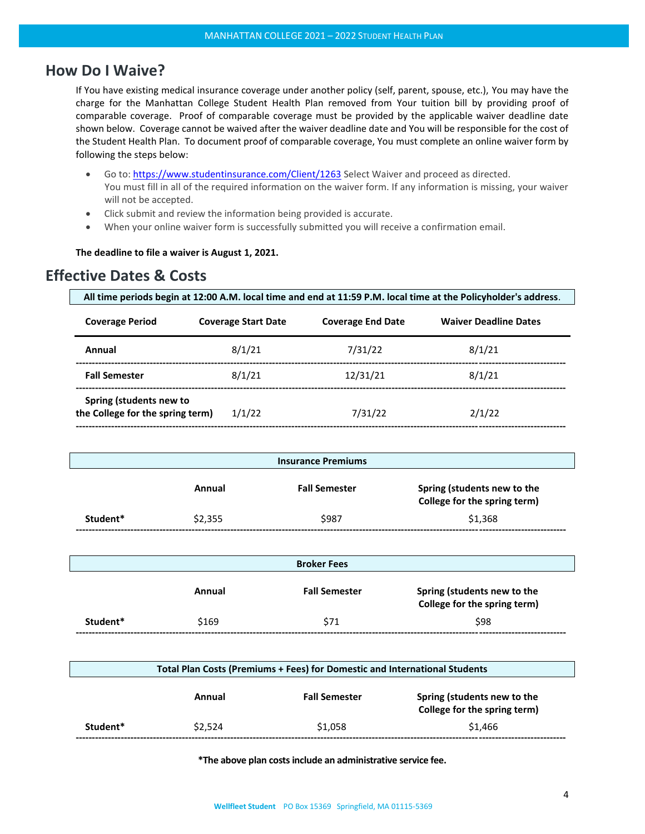# <span id="page-3-0"></span>**How Do I Waive?**

If You have existing medical insurance coverage under another policy (self, parent, spouse, etc.), You may have the charge for the Manhattan College Student Health Plan removed from Your tuition bill by providing proof of comparable coverage. Proof of comparable coverage must be provided by the applicable waiver deadline date shown below. Coverage cannot be waived after the waiver deadline date and You will be responsible for the cost of the Student Health Plan. To document proof of comparable coverage, You must complete an online waiver form by following the steps below:

- Go to: <https://www.studentinsurance.com/Client/1263> Select Waiver and proceed as directed. You must fill in all of the required information on the waiver form. If any information is missing, your waiver will not be accepted.
- Click submit and review the information being provided is accurate.
- When your online waiver form is successfully submitted you will receive a confirmation email.

#### **The deadline to file a waiver is August 1, 2021.**

# <span id="page-3-1"></span>**Effective Dates & Costs**

| All time periods begin at 12:00 A.M. local time and end at 11:59 P.M. local time at the Policyholder's address. |                            |                          |                              |
|-----------------------------------------------------------------------------------------------------------------|----------------------------|--------------------------|------------------------------|
| <b>Coverage Period</b>                                                                                          | <b>Coverage Start Date</b> | <b>Coverage End Date</b> | <b>Waiver Deadline Dates</b> |
| Annual                                                                                                          | 8/1/21                     | 7/31/22                  | 8/1/21                       |
| <b>Fall Semester</b>                                                                                            | 8/1/21                     | 12/31/21                 | 8/1/21                       |
| Spring (students new to                                                                                         |                            |                          |                              |

| the College for the spring term) | 1/1/22 | 7/31/22 | 2/1/22 |
|----------------------------------|--------|---------|--------|
|                                  |        |         |        |

| <b>Insurance Premiums</b> |         |                      |                                                             |
|---------------------------|---------|----------------------|-------------------------------------------------------------|
|                           | Annual  | <b>Fall Semester</b> | Spring (students new to the<br>College for the spring term) |
| Student*                  | \$2,355 | \$987                | \$1.368                                                     |

| <b>Broker Fees</b> |        |                      |                                                             |
|--------------------|--------|----------------------|-------------------------------------------------------------|
|                    | Annual | <b>Fall Semester</b> | Spring (students new to the<br>College for the spring term) |
| Student*           | \$169  | \$71                 | \$98                                                        |

|          | Total Plan Costs (Premiums + Fees) for Domestic and International Students |                      |                                                             |
|----------|----------------------------------------------------------------------------|----------------------|-------------------------------------------------------------|
|          | Annual                                                                     | <b>Fall Semester</b> | Spring (students new to the<br>College for the spring term) |
| Student* | \$2.524                                                                    | \$1,058              | \$1,466                                                     |

**\*The above plan costsinclude an administrative service fee.**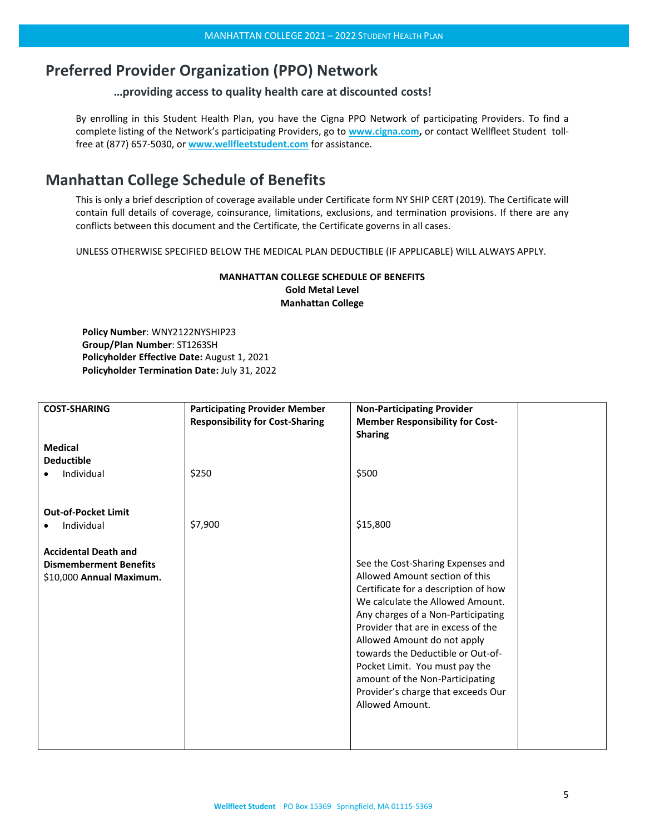# <span id="page-4-0"></span>**Preferred Provider Organization (PPO) Network**

#### **…providing access to quality health care at discounted costs!**

By enrolling in this Student Health Plan, you have the Cigna PPO Network of participating Providers. To find a complete listing of the Network's participating Providers, go to **[www.cigna.com,](https://www.cigna.com/)** or contact Wellfleet Student tollfree at (877) 657-5030, or **[www.wellfleetstudent.com](http://www.wellfleetstudent.com/)** for assistance.

# <span id="page-4-1"></span>**Manhattan College Schedule of Benefits**

This is only a brief description of coverage available under Certificate form NY SHIP CERT (2019). The Certificate will contain full details of coverage, coinsurance, limitations, exclusions, and termination provisions. If there are any conflicts between this document and the Certificate, the Certificate governs in all cases.

UNLESS OTHERWISE SPECIFIED BELOW THE MEDICAL PLAN DEDUCTIBLE (IF APPLICABLE) WILL ALWAYS APPLY.

## **MANHATTAN COLLEGE SCHEDULE OF BENEFITS Gold Metal Level Manhattan College**

**Policy Number**: WNY2122NYSHIP23 **Group/Plan Number**: ST1263SH **Policyholder Effective Date:** August 1, 2021 **Policyholder Termination Date:** July 31, 2022

| <b>COST-SHARING</b>                                                                      | <b>Participating Provider Member</b><br><b>Responsibility for Cost-Sharing</b> | <b>Non-Participating Provider</b><br><b>Member Responsibility for Cost-</b><br><b>Sharing</b>                                                                                                                                                                                                                                                                                                                                 |  |
|------------------------------------------------------------------------------------------|--------------------------------------------------------------------------------|-------------------------------------------------------------------------------------------------------------------------------------------------------------------------------------------------------------------------------------------------------------------------------------------------------------------------------------------------------------------------------------------------------------------------------|--|
| <b>Medical</b><br><b>Deductible</b><br>Individual                                        | \$250                                                                          | \$500                                                                                                                                                                                                                                                                                                                                                                                                                         |  |
|                                                                                          |                                                                                |                                                                                                                                                                                                                                                                                                                                                                                                                               |  |
| <b>Out-of-Pocket Limit</b><br>Individual                                                 | \$7,900                                                                        | \$15,800                                                                                                                                                                                                                                                                                                                                                                                                                      |  |
| <b>Accidental Death and</b><br><b>Dismemberment Benefits</b><br>\$10,000 Annual Maximum. |                                                                                | See the Cost-Sharing Expenses and<br>Allowed Amount section of this<br>Certificate for a description of how<br>We calculate the Allowed Amount.<br>Any charges of a Non-Participating<br>Provider that are in excess of the<br>Allowed Amount do not apply<br>towards the Deductible or Out-of-<br>Pocket Limit. You must pay the<br>amount of the Non-Participating<br>Provider's charge that exceeds Our<br>Allowed Amount. |  |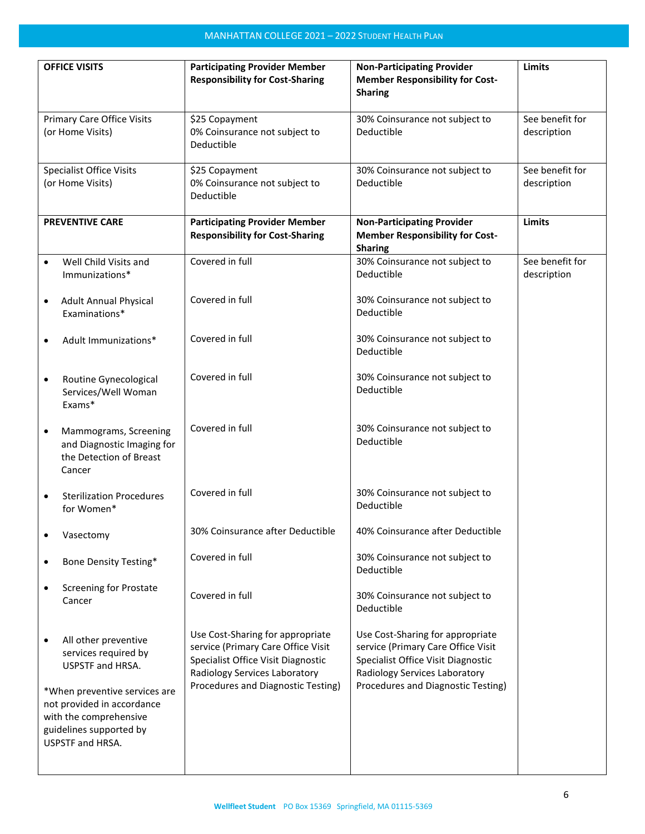|                                                       | <b>OFFICE VISITS</b>                                                                                                                 | <b>Participating Provider Member</b><br><b>Responsibility for Cost-Sharing</b>                                                                | <b>Non-Participating Provider</b><br><b>Member Responsibility for Cost-</b>                                                                   | Limits                         |
|-------------------------------------------------------|--------------------------------------------------------------------------------------------------------------------------------------|-----------------------------------------------------------------------------------------------------------------------------------------------|-----------------------------------------------------------------------------------------------------------------------------------------------|--------------------------------|
|                                                       |                                                                                                                                      |                                                                                                                                               | <b>Sharing</b>                                                                                                                                |                                |
| <b>Primary Care Office Visits</b><br>(or Home Visits) |                                                                                                                                      | \$25 Copayment<br>0% Coinsurance not subject to<br>Deductible                                                                                 | 30% Coinsurance not subject to<br>Deductible                                                                                                  | See benefit for<br>description |
| <b>Specialist Office Visits</b><br>(or Home Visits)   |                                                                                                                                      | \$25 Copayment<br>0% Coinsurance not subject to<br>Deductible                                                                                 | 30% Coinsurance not subject to<br>Deductible                                                                                                  | See benefit for<br>description |
|                                                       | <b>PREVENTIVE CARE</b>                                                                                                               | <b>Participating Provider Member</b><br><b>Responsibility for Cost-Sharing</b>                                                                | <b>Non-Participating Provider</b><br><b>Member Responsibility for Cost-</b><br><b>Sharing</b>                                                 | Limits                         |
| $\bullet$                                             | Well Child Visits and<br>Immunizations*                                                                                              | Covered in full                                                                                                                               | 30% Coinsurance not subject to<br>Deductible                                                                                                  | See benefit for<br>description |
| $\bullet$                                             | <b>Adult Annual Physical</b><br>Examinations*                                                                                        | Covered in full                                                                                                                               | 30% Coinsurance not subject to<br>Deductible                                                                                                  |                                |
|                                                       | Adult Immunizations*                                                                                                                 | Covered in full                                                                                                                               | 30% Coinsurance not subject to<br>Deductible                                                                                                  |                                |
| $\bullet$                                             | Routine Gynecological<br>Services/Well Woman<br>Exams*                                                                               | Covered in full                                                                                                                               | 30% Coinsurance not subject to<br>Deductible                                                                                                  |                                |
| $\bullet$                                             | Mammograms, Screening<br>and Diagnostic Imaging for<br>the Detection of Breast<br>Cancer                                             | Covered in full                                                                                                                               | 30% Coinsurance not subject to<br>Deductible                                                                                                  |                                |
|                                                       | <b>Sterilization Procedures</b><br>for Women*                                                                                        | Covered in full                                                                                                                               | 30% Coinsurance not subject to<br>Deductible                                                                                                  |                                |
|                                                       | Vasectomy                                                                                                                            | 30% Coinsurance after Deductible                                                                                                              | 40% Coinsurance after Deductible                                                                                                              |                                |
| ٠                                                     | Bone Density Testing*                                                                                                                | Covered in full                                                                                                                               | 30% Coinsurance not subject to<br>Deductible                                                                                                  |                                |
| ٠                                                     | <b>Screening for Prostate</b><br>Cancer                                                                                              | Covered in full                                                                                                                               | 30% Coinsurance not subject to<br>Deductible                                                                                                  |                                |
| $\bullet$                                             | All other preventive<br>services required by<br>USPSTF and HRSA.                                                                     | Use Cost-Sharing for appropriate<br>service (Primary Care Office Visit<br>Specialist Office Visit Diagnostic<br>Radiology Services Laboratory | Use Cost-Sharing for appropriate<br>service (Primary Care Office Visit<br>Specialist Office Visit Diagnostic<br>Radiology Services Laboratory |                                |
|                                                       | *When preventive services are<br>not provided in accordance<br>with the comprehensive<br>guidelines supported by<br>USPSTF and HRSA. | Procedures and Diagnostic Testing)                                                                                                            | Procedures and Diagnostic Testing)                                                                                                            |                                |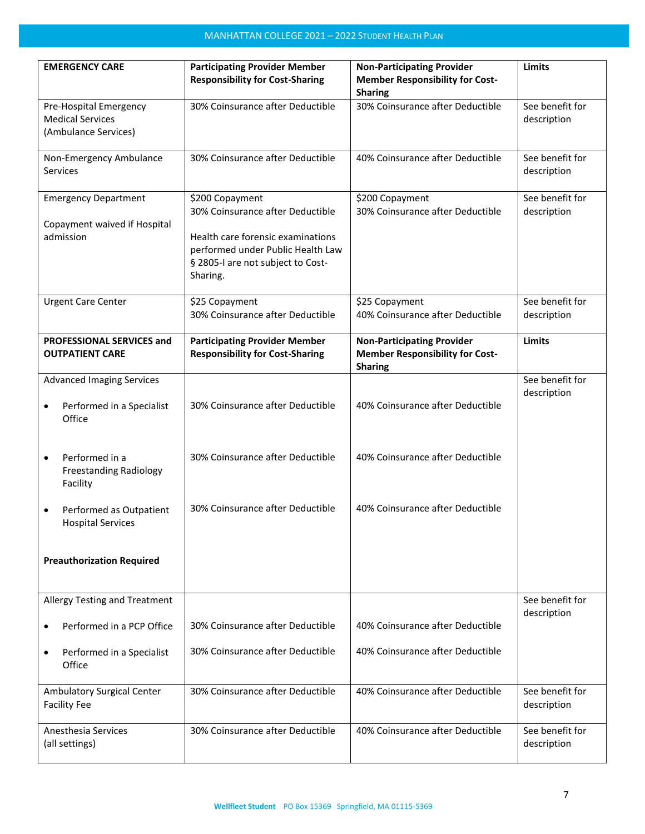| <b>EMERGENCY CARE</b>                                                        | <b>Participating Provider Member</b><br><b>Responsibility for Cost-Sharing</b>                                                | <b>Non-Participating Provider</b><br><b>Member Responsibility for Cost-</b><br><b>Sharing</b> | <b>Limits</b>                  |
|------------------------------------------------------------------------------|-------------------------------------------------------------------------------------------------------------------------------|-----------------------------------------------------------------------------------------------|--------------------------------|
| Pre-Hospital Emergency<br><b>Medical Services</b><br>(Ambulance Services)    | 30% Coinsurance after Deductible                                                                                              | 30% Coinsurance after Deductible                                                              | See benefit for<br>description |
| Non-Emergency Ambulance<br><b>Services</b>                                   | 30% Coinsurance after Deductible                                                                                              | 40% Coinsurance after Deductible                                                              | See benefit for<br>description |
| <b>Emergency Department</b><br>Copayment waived if Hospital<br>admission     | \$200 Copayment<br>30% Coinsurance after Deductible<br>Health care forensic examinations<br>performed under Public Health Law | \$200 Copayment<br>30% Coinsurance after Deductible                                           | See benefit for<br>description |
|                                                                              | § 2805-I are not subject to Cost-<br>Sharing.                                                                                 |                                                                                               |                                |
| <b>Urgent Care Center</b>                                                    | \$25 Copayment<br>30% Coinsurance after Deductible                                                                            | \$25 Copayment<br>40% Coinsurance after Deductible                                            | See benefit for<br>description |
| PROFESSIONAL SERVICES and<br><b>OUTPATIENT CARE</b>                          | <b>Participating Provider Member</b><br><b>Responsibility for Cost-Sharing</b>                                                | <b>Non-Participating Provider</b><br><b>Member Responsibility for Cost-</b><br><b>Sharing</b> | <b>Limits</b>                  |
| <b>Advanced Imaging Services</b><br>Performed in a Specialist<br>٠<br>Office | 30% Coinsurance after Deductible                                                                                              | 40% Coinsurance after Deductible                                                              | See benefit for<br>description |
| Performed in a<br>٠<br><b>Freestanding Radiology</b><br>Facility             | 30% Coinsurance after Deductible                                                                                              | 40% Coinsurance after Deductible                                                              |                                |
| Performed as Outpatient<br>٠<br><b>Hospital Services</b>                     | 30% Coinsurance after Deductible                                                                                              | 40% Coinsurance after Deductible                                                              |                                |
| <b>Preauthorization Required</b>                                             |                                                                                                                               |                                                                                               |                                |
| Allergy Testing and Treatment                                                |                                                                                                                               |                                                                                               | See benefit for<br>description |
| Performed in a PCP Office<br>٠                                               | 30% Coinsurance after Deductible                                                                                              | 40% Coinsurance after Deductible                                                              |                                |
| Performed in a Specialist<br>٠<br>Office                                     | 30% Coinsurance after Deductible                                                                                              | 40% Coinsurance after Deductible                                                              |                                |
| <b>Ambulatory Surgical Center</b><br><b>Facility Fee</b>                     | 30% Coinsurance after Deductible                                                                                              | 40% Coinsurance after Deductible                                                              | See benefit for<br>description |
| Anesthesia Services<br>(all settings)                                        | 30% Coinsurance after Deductible                                                                                              | 40% Coinsurance after Deductible                                                              | See benefit for<br>description |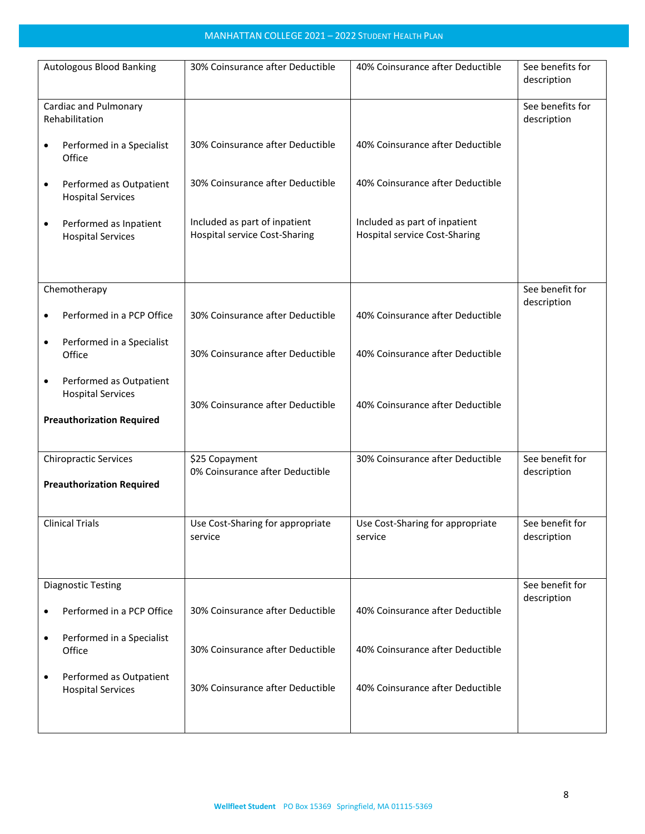| Autologous Blood Banking                                         | 30% Coinsurance after Deductible                                      | 40% Coinsurance after Deductible                                      | See benefits for<br>description |
|------------------------------------------------------------------|-----------------------------------------------------------------------|-----------------------------------------------------------------------|---------------------------------|
| Cardiac and Pulmonary<br>Rehabilitation                          |                                                                       |                                                                       | See benefits for<br>description |
| Performed in a Specialist<br>٠<br>Office                         | 30% Coinsurance after Deductible                                      | 40% Coinsurance after Deductible                                      |                                 |
| Performed as Outpatient<br>$\bullet$<br><b>Hospital Services</b> | 30% Coinsurance after Deductible                                      | 40% Coinsurance after Deductible                                      |                                 |
| Performed as Inpatient<br>$\bullet$<br><b>Hospital Services</b>  | Included as part of inpatient<br><b>Hospital service Cost-Sharing</b> | Included as part of inpatient<br><b>Hospital service Cost-Sharing</b> |                                 |
|                                                                  |                                                                       |                                                                       | See benefit for                 |
| Chemotherapy                                                     |                                                                       |                                                                       | description                     |
| Performed in a PCP Office<br>٠                                   | 30% Coinsurance after Deductible                                      | 40% Coinsurance after Deductible                                      |                                 |
| Performed in a Specialist<br>٠<br>Office                         | 30% Coinsurance after Deductible                                      | 40% Coinsurance after Deductible                                      |                                 |
| Performed as Outpatient<br>٠<br><b>Hospital Services</b>         | 30% Coinsurance after Deductible                                      | 40% Coinsurance after Deductible                                      |                                 |
| <b>Preauthorization Required</b>                                 |                                                                       |                                                                       |                                 |
| <b>Chiropractic Services</b>                                     | \$25 Copayment                                                        | 30% Coinsurance after Deductible                                      | See benefit for                 |
| <b>Preauthorization Required</b>                                 | 0% Coinsurance after Deductible                                       |                                                                       | description                     |
| <b>Clinical Trials</b>                                           | Use Cost-Sharing for appropriate<br>service                           | Use Cost-Sharing for appropriate<br>service                           | See benefit for<br>description  |
| <b>Diagnostic Testing</b>                                        |                                                                       |                                                                       | See benefit for                 |
|                                                                  |                                                                       |                                                                       | description                     |
| Performed in a PCP Office<br>٠                                   | 30% Coinsurance after Deductible                                      | 40% Coinsurance after Deductible                                      |                                 |
| Performed in a Specialist<br>٠<br>Office                         | 30% Coinsurance after Deductible                                      | 40% Coinsurance after Deductible                                      |                                 |
| Performed as Outpatient<br>٠<br><b>Hospital Services</b>         | 30% Coinsurance after Deductible                                      | 40% Coinsurance after Deductible                                      |                                 |
|                                                                  |                                                                       |                                                                       |                                 |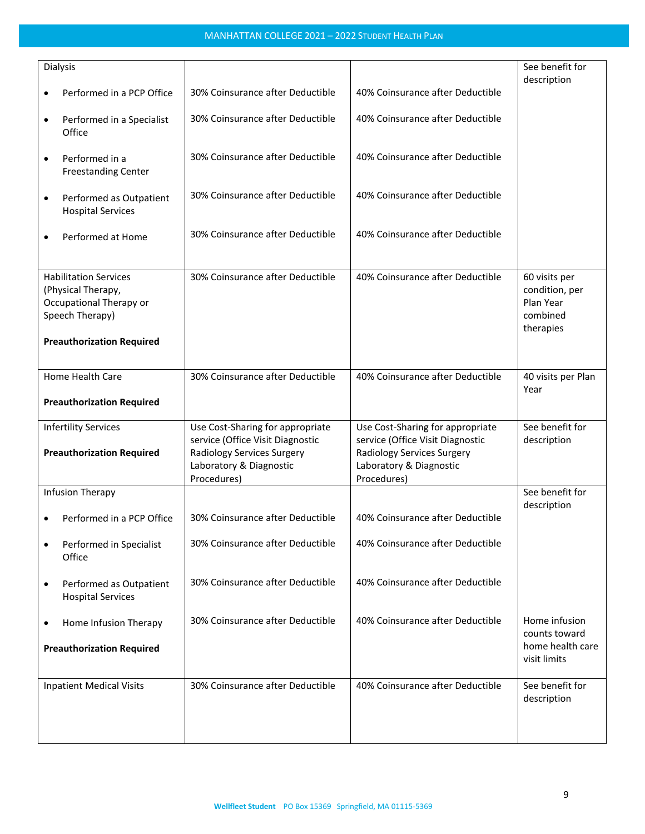|           | Dialysis                         |                                  |                                  | See benefit for    |
|-----------|----------------------------------|----------------------------------|----------------------------------|--------------------|
|           |                                  |                                  |                                  | description        |
| $\bullet$ | Performed in a PCP Office        | 30% Coinsurance after Deductible | 40% Coinsurance after Deductible |                    |
|           |                                  |                                  |                                  |                    |
| ٠         | Performed in a Specialist        | 30% Coinsurance after Deductible | 40% Coinsurance after Deductible |                    |
|           | Office                           |                                  |                                  |                    |
|           |                                  |                                  |                                  |                    |
| $\bullet$ | Performed in a                   | 30% Coinsurance after Deductible | 40% Coinsurance after Deductible |                    |
|           | <b>Freestanding Center</b>       |                                  |                                  |                    |
|           |                                  |                                  |                                  |                    |
| $\bullet$ | Performed as Outpatient          | 30% Coinsurance after Deductible | 40% Coinsurance after Deductible |                    |
|           | <b>Hospital Services</b>         |                                  |                                  |                    |
|           |                                  |                                  |                                  |                    |
| $\bullet$ | Performed at Home                | 30% Coinsurance after Deductible | 40% Coinsurance after Deductible |                    |
|           |                                  |                                  |                                  |                    |
|           |                                  |                                  |                                  |                    |
|           | <b>Habilitation Services</b>     | 30% Coinsurance after Deductible | 40% Coinsurance after Deductible | 60 visits per      |
|           | (Physical Therapy,               |                                  |                                  | condition, per     |
|           | Occupational Therapy or          |                                  |                                  | Plan Year          |
|           | Speech Therapy)                  |                                  |                                  | combined           |
|           |                                  |                                  |                                  | therapies          |
|           | <b>Preauthorization Required</b> |                                  |                                  |                    |
|           |                                  |                                  |                                  |                    |
|           | Home Health Care                 | 30% Coinsurance after Deductible | 40% Coinsurance after Deductible | 40 visits per Plan |
|           |                                  |                                  |                                  | Year               |
|           | <b>Preauthorization Required</b> |                                  |                                  |                    |
|           |                                  |                                  |                                  |                    |
|           | <b>Infertility Services</b>      | Use Cost-Sharing for appropriate | Use Cost-Sharing for appropriate | See benefit for    |
|           |                                  | service (Office Visit Diagnostic | service (Office Visit Diagnostic | description        |
|           | <b>Preauthorization Required</b> | Radiology Services Surgery       | Radiology Services Surgery       |                    |
|           |                                  | Laboratory & Diagnostic          | Laboratory & Diagnostic          |                    |
|           |                                  | Procedures)                      | Procedures)                      |                    |
|           | Infusion Therapy                 |                                  |                                  | See benefit for    |
|           |                                  |                                  |                                  | description        |
|           | Performed in a PCP Office        | 30% Coinsurance after Deductible | 40% Coinsurance after Deductible |                    |
|           |                                  |                                  | 40% Coinsurance after Deductible |                    |
| ٠         | Performed in Specialist          | 30% Coinsurance after Deductible |                                  |                    |
|           | Office                           |                                  |                                  |                    |
|           |                                  | 30% Coinsurance after Deductible | 40% Coinsurance after Deductible |                    |
| ٠         | Performed as Outpatient          |                                  |                                  |                    |
|           | <b>Hospital Services</b>         |                                  |                                  |                    |
|           |                                  | 30% Coinsurance after Deductible | 40% Coinsurance after Deductible | Home infusion      |
| ٠         | Home Infusion Therapy            |                                  |                                  | counts toward      |
|           | <b>Preauthorization Required</b> |                                  |                                  | home health care   |
|           |                                  |                                  |                                  | visit limits       |
|           |                                  |                                  |                                  |                    |
|           | <b>Inpatient Medical Visits</b>  | 30% Coinsurance after Deductible | 40% Coinsurance after Deductible | See benefit for    |
|           |                                  |                                  |                                  | description        |
|           |                                  |                                  |                                  |                    |
|           |                                  |                                  |                                  |                    |
|           |                                  |                                  |                                  |                    |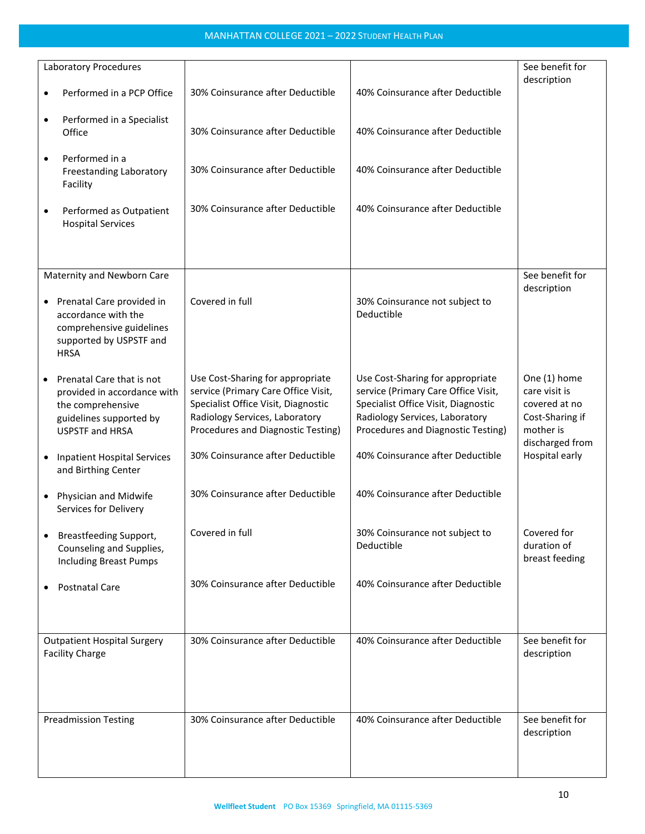|           | Laboratory Procedures                                                                                                                   |                                                                                                                                                                                        |                                                                                                                                                                                        | See benefit for<br>description                                                                    |
|-----------|-----------------------------------------------------------------------------------------------------------------------------------------|----------------------------------------------------------------------------------------------------------------------------------------------------------------------------------------|----------------------------------------------------------------------------------------------------------------------------------------------------------------------------------------|---------------------------------------------------------------------------------------------------|
| $\bullet$ | Performed in a PCP Office                                                                                                               | 30% Coinsurance after Deductible                                                                                                                                                       | 40% Coinsurance after Deductible                                                                                                                                                       |                                                                                                   |
| ٠         | Performed in a Specialist<br>Office                                                                                                     | 30% Coinsurance after Deductible                                                                                                                                                       | 40% Coinsurance after Deductible                                                                                                                                                       |                                                                                                   |
| ٠         | Performed in a<br>Freestanding Laboratory<br>Facility                                                                                   | 30% Coinsurance after Deductible                                                                                                                                                       | 40% Coinsurance after Deductible                                                                                                                                                       |                                                                                                   |
| ٠         | Performed as Outpatient<br><b>Hospital Services</b>                                                                                     | 30% Coinsurance after Deductible                                                                                                                                                       | 40% Coinsurance after Deductible                                                                                                                                                       |                                                                                                   |
|           |                                                                                                                                         |                                                                                                                                                                                        |                                                                                                                                                                                        |                                                                                                   |
|           | Maternity and Newborn Care<br>• Prenatal Care provided in<br>accordance with the<br>comprehensive guidelines<br>supported by USPSTF and | Covered in full                                                                                                                                                                        | 30% Coinsurance not subject to<br>Deductible                                                                                                                                           | See benefit for<br>description                                                                    |
|           | <b>HRSA</b>                                                                                                                             |                                                                                                                                                                                        |                                                                                                                                                                                        |                                                                                                   |
|           | Prenatal Care that is not<br>provided in accordance with<br>the comprehensive<br>guidelines supported by<br><b>USPSTF and HRSA</b>      | Use Cost-Sharing for appropriate<br>service (Primary Care Office Visit,<br>Specialist Office Visit, Diagnostic<br>Radiology Services, Laboratory<br>Procedures and Diagnostic Testing) | Use Cost-Sharing for appropriate<br>service (Primary Care Office Visit,<br>Specialist Office Visit, Diagnostic<br>Radiology Services, Laboratory<br>Procedures and Diagnostic Testing) | One (1) home<br>care visit is<br>covered at no<br>Cost-Sharing if<br>mother is<br>discharged from |
|           | <b>Inpatient Hospital Services</b><br>and Birthing Center                                                                               | 30% Coinsurance after Deductible                                                                                                                                                       | 40% Coinsurance after Deductible                                                                                                                                                       | Hospital early                                                                                    |
| $\bullet$ | Physician and Midwife<br>Services for Delivery                                                                                          | 30% Coinsurance after Deductible                                                                                                                                                       | 40% Coinsurance after Deductible                                                                                                                                                       |                                                                                                   |
|           | Breastfeeding Support,<br>Counseling and Supplies,<br><b>Including Breast Pumps</b>                                                     | Covered in full                                                                                                                                                                        | 30% Coinsurance not subject to<br>Deductible                                                                                                                                           | Covered for<br>duration of<br>breast feeding                                                      |
|           | <b>Postnatal Care</b>                                                                                                                   | 30% Coinsurance after Deductible                                                                                                                                                       | 40% Coinsurance after Deductible                                                                                                                                                       |                                                                                                   |
|           | <b>Outpatient Hospital Surgery</b><br><b>Facility Charge</b>                                                                            | 30% Coinsurance after Deductible                                                                                                                                                       | 40% Coinsurance after Deductible                                                                                                                                                       | See benefit for<br>description                                                                    |
|           | <b>Preadmission Testing</b>                                                                                                             | 30% Coinsurance after Deductible                                                                                                                                                       | 40% Coinsurance after Deductible                                                                                                                                                       | See benefit for<br>description                                                                    |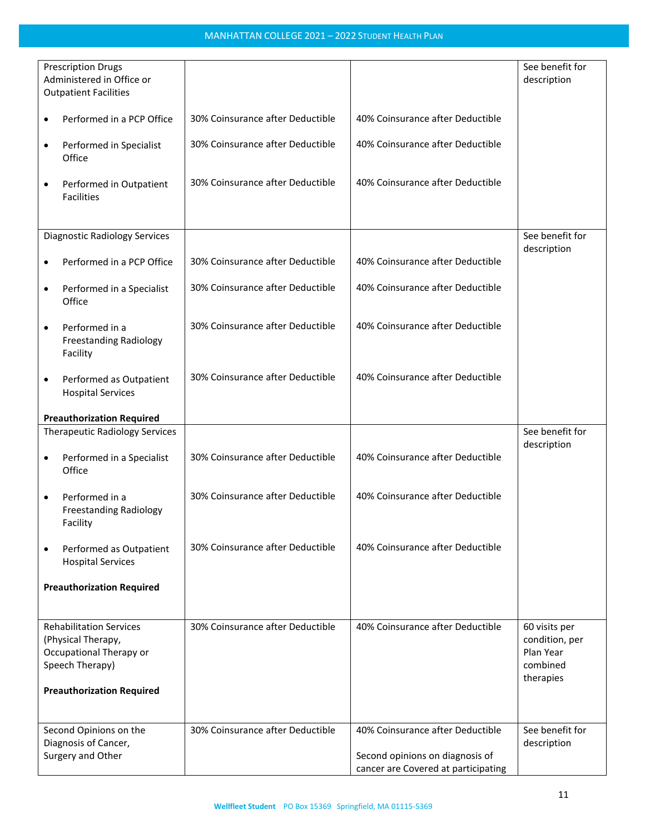| <b>Prescription Drugs</b><br>Administered in Office or<br><b>Outpatient Facilities</b> |                                                                                                    |                                  |                                                                                                            | See benefit for<br>description                                        |
|----------------------------------------------------------------------------------------|----------------------------------------------------------------------------------------------------|----------------------------------|------------------------------------------------------------------------------------------------------------|-----------------------------------------------------------------------|
| $\bullet$                                                                              | Performed in a PCP Office                                                                          | 30% Coinsurance after Deductible | 40% Coinsurance after Deductible                                                                           |                                                                       |
| ٠                                                                                      | Performed in Specialist<br>Office                                                                  | 30% Coinsurance after Deductible | 40% Coinsurance after Deductible                                                                           |                                                                       |
| $\bullet$                                                                              | Performed in Outpatient<br><b>Facilities</b>                                                       | 30% Coinsurance after Deductible | 40% Coinsurance after Deductible                                                                           |                                                                       |
|                                                                                        |                                                                                                    |                                  |                                                                                                            |                                                                       |
|                                                                                        | <b>Diagnostic Radiology Services</b>                                                               |                                  |                                                                                                            | See benefit for<br>description                                        |
| $\bullet$                                                                              | Performed in a PCP Office                                                                          | 30% Coinsurance after Deductible | 40% Coinsurance after Deductible                                                                           |                                                                       |
| $\bullet$                                                                              | Performed in a Specialist<br>Office                                                                | 30% Coinsurance after Deductible | 40% Coinsurance after Deductible                                                                           |                                                                       |
| $\bullet$                                                                              | Performed in a<br><b>Freestanding Radiology</b><br>Facility                                        | 30% Coinsurance after Deductible | 40% Coinsurance after Deductible                                                                           |                                                                       |
| $\bullet$                                                                              | Performed as Outpatient<br><b>Hospital Services</b>                                                | 30% Coinsurance after Deductible | 40% Coinsurance after Deductible                                                                           |                                                                       |
|                                                                                        | <b>Preauthorization Required</b>                                                                   |                                  |                                                                                                            |                                                                       |
|                                                                                        | <b>Therapeutic Radiology Services</b>                                                              |                                  |                                                                                                            | See benefit for                                                       |
| ٠                                                                                      | Performed in a Specialist<br>Office                                                                | 30% Coinsurance after Deductible | 40% Coinsurance after Deductible                                                                           | description                                                           |
| $\bullet$                                                                              | Performed in a<br><b>Freestanding Radiology</b><br>Facility                                        | 30% Coinsurance after Deductible | 40% Coinsurance after Deductible                                                                           |                                                                       |
| $\bullet$                                                                              | Performed as Outpatient<br><b>Hospital Services</b>                                                | 30% Coinsurance after Deductible | 40% Coinsurance after Deductible                                                                           |                                                                       |
|                                                                                        | <b>Preauthorization Required</b>                                                                   |                                  |                                                                                                            |                                                                       |
|                                                                                        | <b>Rehabilitation Services</b><br>(Physical Therapy,<br>Occupational Therapy or<br>Speech Therapy) | 30% Coinsurance after Deductible | 40% Coinsurance after Deductible                                                                           | 60 visits per<br>condition, per<br>Plan Year<br>combined<br>therapies |
|                                                                                        | <b>Preauthorization Required</b>                                                                   |                                  |                                                                                                            |                                                                       |
|                                                                                        | Second Opinions on the<br>Diagnosis of Cancer,<br>Surgery and Other                                | 30% Coinsurance after Deductible | 40% Coinsurance after Deductible<br>Second opinions on diagnosis of<br>cancer are Covered at participating | See benefit for<br>description                                        |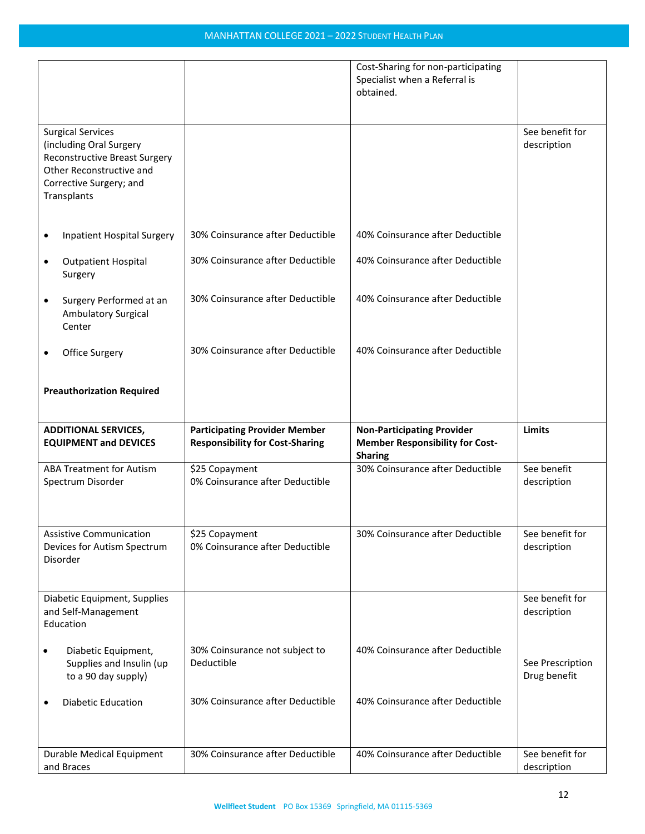| <b>Surgical Services</b>                                                                                                              |                                                                                | Cost-Sharing for non-participating<br>Specialist when a Referral is<br>obtained.              | See benefit for                  |
|---------------------------------------------------------------------------------------------------------------------------------------|--------------------------------------------------------------------------------|-----------------------------------------------------------------------------------------------|----------------------------------|
| (including Oral Surgery<br><b>Reconstructive Breast Surgery</b><br>Other Reconstructive and<br>Corrective Surgery; and<br>Transplants |                                                                                |                                                                                               | description                      |
| <b>Inpatient Hospital Surgery</b><br>٠                                                                                                | 30% Coinsurance after Deductible                                               | 40% Coinsurance after Deductible                                                              |                                  |
| <b>Outpatient Hospital</b><br>٠<br>Surgery                                                                                            | 30% Coinsurance after Deductible                                               | 40% Coinsurance after Deductible                                                              |                                  |
| Surgery Performed at an<br>$\bullet$<br><b>Ambulatory Surgical</b><br>Center                                                          | 30% Coinsurance after Deductible                                               | 40% Coinsurance after Deductible                                                              |                                  |
| Office Surgery<br>٠                                                                                                                   | 30% Coinsurance after Deductible                                               | 40% Coinsurance after Deductible                                                              |                                  |
| <b>Preauthorization Required</b>                                                                                                      |                                                                                |                                                                                               |                                  |
|                                                                                                                                       |                                                                                |                                                                                               |                                  |
| <b>ADDITIONAL SERVICES,</b><br><b>EQUIPMENT and DEVICES</b>                                                                           | <b>Participating Provider Member</b><br><b>Responsibility for Cost-Sharing</b> | <b>Non-Participating Provider</b><br><b>Member Responsibility for Cost-</b><br><b>Sharing</b> | <b>Limits</b>                    |
| <b>ABA Treatment for Autism</b><br>Spectrum Disorder                                                                                  | \$25 Copayment<br>0% Coinsurance after Deductible                              | 30% Coinsurance after Deductible                                                              | See benefit<br>description       |
| <b>Assistive Communication</b><br>Devices for Autism Spectrum<br>Disorder                                                             | \$25 Copayment<br>0% Coinsurance after Deductible                              | 30% Coinsurance after Deductible                                                              | See benefit for<br>description   |
| Diabetic Equipment, Supplies<br>and Self-Management<br>Education                                                                      |                                                                                |                                                                                               | See benefit for<br>description   |
| Diabetic Equipment,<br>$\bullet$<br>Supplies and Insulin (up<br>to a 90 day supply)                                                   | 30% Coinsurance not subject to<br>Deductible                                   | 40% Coinsurance after Deductible                                                              | See Prescription<br>Drug benefit |
| <b>Diabetic Education</b><br>٠                                                                                                        | 30% Coinsurance after Deductible                                               | 40% Coinsurance after Deductible                                                              |                                  |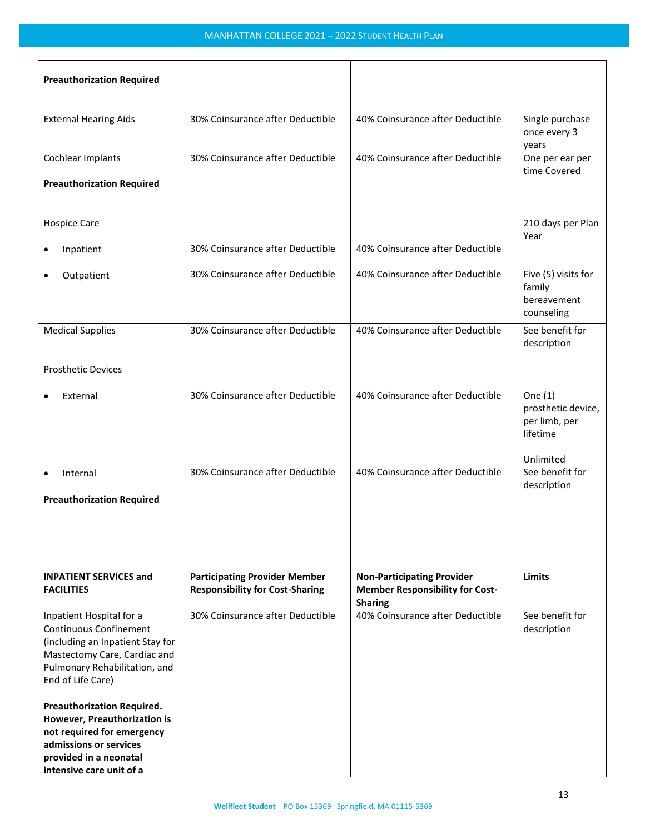| <b>Preauthorization Required</b>                                                                                                                                                    |                                                                                |                                                                                               |                                                              |
|-------------------------------------------------------------------------------------------------------------------------------------------------------------------------------------|--------------------------------------------------------------------------------|-----------------------------------------------------------------------------------------------|--------------------------------------------------------------|
| <b>External Hearing Aids</b>                                                                                                                                                        | 30% Coinsurance after Deductible                                               | 40% Coinsurance after Deductible                                                              | Single purchase<br>once every 3<br>years                     |
| Cochlear Implants                                                                                                                                                                   | 30% Coinsurance after Deductible                                               | 40% Coinsurance after Deductible                                                              | One per ear per<br>time Covered                              |
| <b>Preauthorization Required</b>                                                                                                                                                    |                                                                                |                                                                                               |                                                              |
| <b>Hospice Care</b>                                                                                                                                                                 |                                                                                |                                                                                               | 210 days per Plan<br>Year                                    |
| Inpatient<br>٠                                                                                                                                                                      | 30% Coinsurance after Deductible                                               | 40% Coinsurance after Deductible                                                              |                                                              |
| Outpatient                                                                                                                                                                          | 30% Coinsurance after Deductible                                               | 40% Coinsurance after Deductible                                                              | Five (5) visits for<br>family<br>bereavement<br>counseling   |
| <b>Medical Supplies</b>                                                                                                                                                             | 30% Coinsurance after Deductible                                               | 40% Coinsurance after Deductible                                                              | See benefit for<br>description                               |
| <b>Prosthetic Devices</b>                                                                                                                                                           |                                                                                |                                                                                               |                                                              |
| External                                                                                                                                                                            | 30% Coinsurance after Deductible                                               | 40% Coinsurance after Deductible                                                              | One $(1)$<br>prosthetic device,<br>per limb, per<br>lifetime |
| Internal<br>$\bullet$                                                                                                                                                               | 30% Coinsurance after Deductible                                               | 40% Coinsurance after Deductible                                                              | Unlimited<br>See benefit for<br>description                  |
| <b>Preauthorization Required</b>                                                                                                                                                    |                                                                                |                                                                                               |                                                              |
| <b>INPATIENT SERVICES and</b><br><b>FACILITIES</b>                                                                                                                                  | <b>Participating Provider Member</b><br><b>Responsibility for Cost-Sharing</b> | <b>Non-Participating Provider</b><br><b>Member Responsibility for Cost-</b><br><b>Sharing</b> | Limits                                                       |
| Inpatient Hospital for a<br><b>Continuous Confinement</b><br>(including an Inpatient Stay for<br>Mastectomy Care, Cardiac and<br>Pulmonary Rehabilitation, and<br>End of Life Care) | 30% Coinsurance after Deductible                                               | 40% Coinsurance after Deductible                                                              | See benefit for<br>description                               |
| <b>Preauthorization Required.</b><br>However, Preauthorization is<br>not required for emergency<br>admissions or services<br>provided in a neonatal<br>intensive care unit of a     |                                                                                |                                                                                               |                                                              |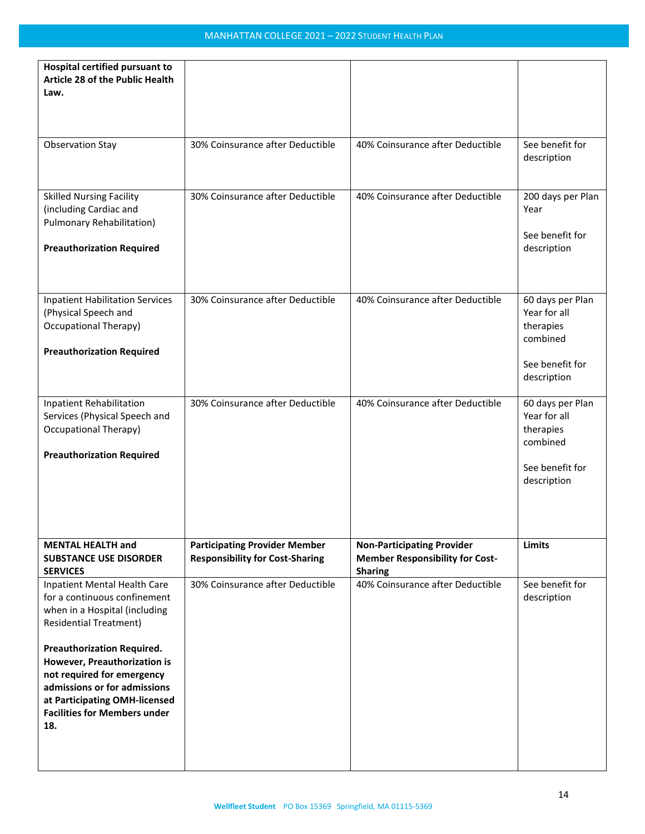| Hospital certified pursuant to<br>Article 28 of the Public Health<br>Law.                                                                                                                                                                                                                                                                        |                                                                                |                                                                                               |                                                                                             |
|--------------------------------------------------------------------------------------------------------------------------------------------------------------------------------------------------------------------------------------------------------------------------------------------------------------------------------------------------|--------------------------------------------------------------------------------|-----------------------------------------------------------------------------------------------|---------------------------------------------------------------------------------------------|
| <b>Observation Stay</b>                                                                                                                                                                                                                                                                                                                          | 30% Coinsurance after Deductible                                               | 40% Coinsurance after Deductible                                                              | See benefit for<br>description                                                              |
| <b>Skilled Nursing Facility</b><br>(including Cardiac and<br>Pulmonary Rehabilitation)<br><b>Preauthorization Required</b>                                                                                                                                                                                                                       | 30% Coinsurance after Deductible                                               | 40% Coinsurance after Deductible                                                              | 200 days per Plan<br>Year<br>See benefit for<br>description                                 |
| <b>Inpatient Habilitation Services</b><br>(Physical Speech and<br>Occupational Therapy)<br><b>Preauthorization Required</b>                                                                                                                                                                                                                      | 30% Coinsurance after Deductible                                               | 40% Coinsurance after Deductible                                                              | 60 days per Plan<br>Year for all<br>therapies<br>combined<br>See benefit for<br>description |
| <b>Inpatient Rehabilitation</b><br>Services (Physical Speech and<br>Occupational Therapy)<br><b>Preauthorization Required</b>                                                                                                                                                                                                                    | 30% Coinsurance after Deductible                                               | 40% Coinsurance after Deductible                                                              | 60 days per Plan<br>Year for all<br>therapies<br>combined<br>See benefit for<br>description |
| <b>MENTAL HEALTH and</b><br><b>SUBSTANCE USE DISORDER</b><br><b>SERVICES</b>                                                                                                                                                                                                                                                                     | <b>Participating Provider Member</b><br><b>Responsibility for Cost-Sharing</b> | <b>Non-Participating Provider</b><br><b>Member Responsibility for Cost-</b><br><b>Sharing</b> | <b>Limits</b>                                                                               |
| Inpatient Mental Health Care<br>for a continuous confinement<br>when in a Hospital (including<br><b>Residential Treatment)</b><br><b>Preauthorization Required.</b><br>However, Preauthorization is<br>not required for emergency<br>admissions or for admissions<br>at Participating OMH-licensed<br><b>Facilities for Members under</b><br>18. | 30% Coinsurance after Deductible                                               | 40% Coinsurance after Deductible                                                              | See benefit for<br>description                                                              |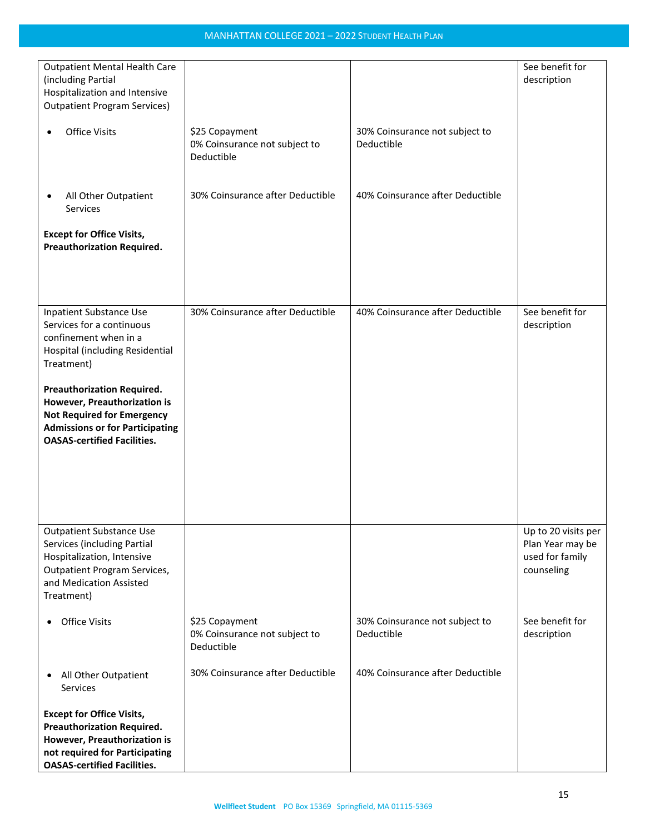| <b>Outpatient Mental Health Care</b><br>(including Partial<br>Hospitalization and Intensive                                                                                            |                                                               |                                              | See benefit for<br>description                                           |
|----------------------------------------------------------------------------------------------------------------------------------------------------------------------------------------|---------------------------------------------------------------|----------------------------------------------|--------------------------------------------------------------------------|
| <b>Outpatient Program Services)</b>                                                                                                                                                    |                                                               |                                              |                                                                          |
| <b>Office Visits</b><br>$\bullet$                                                                                                                                                      | \$25 Copayment<br>0% Coinsurance not subject to<br>Deductible | 30% Coinsurance not subject to<br>Deductible |                                                                          |
| All Other Outpatient<br>٠<br>Services                                                                                                                                                  | 30% Coinsurance after Deductible                              | 40% Coinsurance after Deductible             |                                                                          |
| <b>Except for Office Visits,</b><br><b>Preauthorization Required.</b>                                                                                                                  |                                                               |                                              |                                                                          |
|                                                                                                                                                                                        |                                                               |                                              |                                                                          |
| <b>Inpatient Substance Use</b><br>Services for a continuous<br>confinement when in a<br>Hospital (including Residential<br>Treatment)                                                  | 30% Coinsurance after Deductible                              | 40% Coinsurance after Deductible             | See benefit for<br>description                                           |
| <b>Preauthorization Required.</b><br>However, Preauthorization is<br><b>Not Required for Emergency</b><br><b>Admissions or for Participating</b><br><b>OASAS-certified Facilities.</b> |                                                               |                                              |                                                                          |
|                                                                                                                                                                                        |                                                               |                                              |                                                                          |
| <b>Outpatient Substance Use</b><br>Services (including Partial<br>Hospitalization, Intensive<br><b>Outpatient Program Services,</b><br>and Medication Assisted<br>Treatment)           |                                                               |                                              | Up to 20 visits per<br>Plan Year may be<br>used for family<br>counseling |
| <b>Office Visits</b><br>٠                                                                                                                                                              | \$25 Copayment<br>0% Coinsurance not subject to<br>Deductible | 30% Coinsurance not subject to<br>Deductible | See benefit for<br>description                                           |
| All Other Outpatient<br>$\bullet$<br>Services                                                                                                                                          | 30% Coinsurance after Deductible                              | 40% Coinsurance after Deductible             |                                                                          |
| <b>Except for Office Visits,</b><br><b>Preauthorization Required.</b><br>However, Preauthorization is<br>not required for Participating<br><b>OASAS-certified Facilities.</b>          |                                                               |                                              |                                                                          |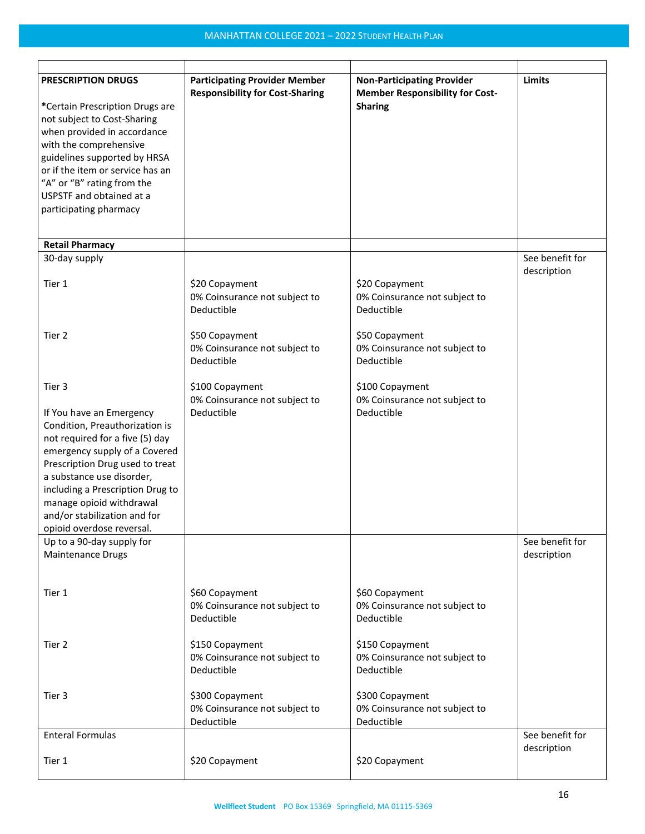| <b>PRESCRIPTION DRUGS</b>                                                                                                                                                                                                                                                                                                   | <b>Participating Provider Member</b><br><b>Responsibility for Cost-Sharing</b> | <b>Non-Participating Provider</b><br><b>Member Responsibility for Cost-</b> | <b>Limits</b>                  |
|-----------------------------------------------------------------------------------------------------------------------------------------------------------------------------------------------------------------------------------------------------------------------------------------------------------------------------|--------------------------------------------------------------------------------|-----------------------------------------------------------------------------|--------------------------------|
| *Certain Prescription Drugs are<br>not subject to Cost-Sharing<br>when provided in accordance<br>with the comprehensive<br>guidelines supported by HRSA<br>or if the item or service has an<br>"A" or "B" rating from the<br>USPSTF and obtained at a<br>participating pharmacy                                             |                                                                                | <b>Sharing</b>                                                              |                                |
|                                                                                                                                                                                                                                                                                                                             |                                                                                |                                                                             |                                |
| <b>Retail Pharmacy</b><br>30-day supply                                                                                                                                                                                                                                                                                     |                                                                                |                                                                             | See benefit for                |
|                                                                                                                                                                                                                                                                                                                             |                                                                                |                                                                             | description                    |
| Tier 1                                                                                                                                                                                                                                                                                                                      | \$20 Copayment<br>0% Coinsurance not subject to<br>Deductible                  | \$20 Copayment<br>0% Coinsurance not subject to<br>Deductible               |                                |
| Tier 2                                                                                                                                                                                                                                                                                                                      | \$50 Copayment<br>0% Coinsurance not subject to<br>Deductible                  | \$50 Copayment<br>0% Coinsurance not subject to<br>Deductible               |                                |
| Tier 3                                                                                                                                                                                                                                                                                                                      | \$100 Copayment<br>0% Coinsurance not subject to                               | \$100 Copayment<br>0% Coinsurance not subject to                            |                                |
| If You have an Emergency<br>Condition, Preauthorization is<br>not required for a five (5) day<br>emergency supply of a Covered<br>Prescription Drug used to treat<br>a substance use disorder,<br>including a Prescription Drug to<br>manage opioid withdrawal<br>and/or stabilization and for<br>opioid overdose reversal. | Deductible                                                                     | Deductible                                                                  |                                |
| Up to a 90-day supply for<br><b>Maintenance Drugs</b>                                                                                                                                                                                                                                                                       |                                                                                |                                                                             | See benefit for<br>description |
| Tier 1                                                                                                                                                                                                                                                                                                                      | \$60 Copayment<br>0% Coinsurance not subject to<br>Deductible                  | \$60 Copayment<br>0% Coinsurance not subject to<br>Deductible               |                                |
| Tier 2                                                                                                                                                                                                                                                                                                                      | \$150 Copayment<br>0% Coinsurance not subject to<br>Deductible                 | \$150 Copayment<br>0% Coinsurance not subject to<br>Deductible              |                                |
| Tier 3                                                                                                                                                                                                                                                                                                                      | \$300 Copayment<br>0% Coinsurance not subject to<br>Deductible                 | \$300 Copayment<br>0% Coinsurance not subject to<br>Deductible              |                                |
| <b>Enteral Formulas</b>                                                                                                                                                                                                                                                                                                     |                                                                                |                                                                             | See benefit for                |
| Tier 1                                                                                                                                                                                                                                                                                                                      | \$20 Copayment                                                                 | \$20 Copayment                                                              | description                    |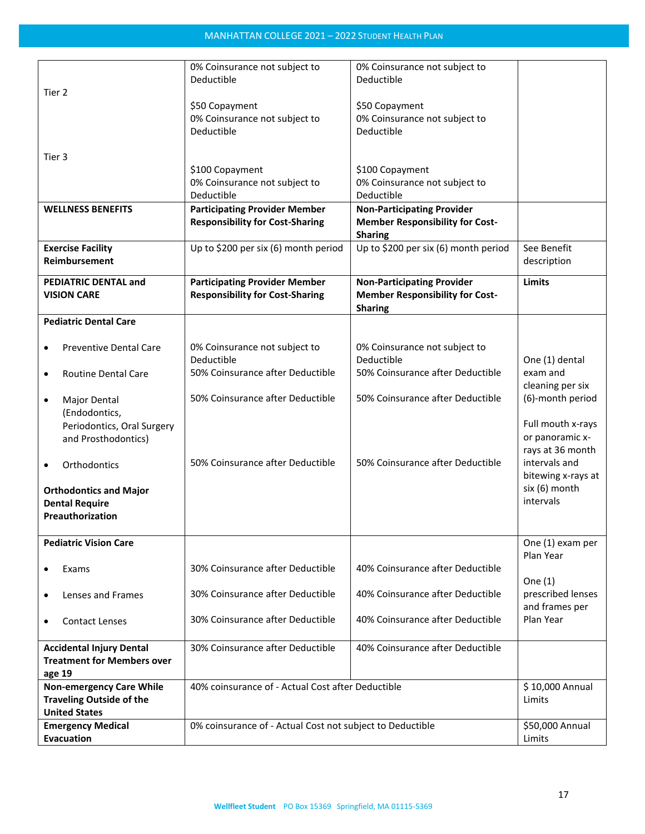|                                         | 0% Coinsurance not subject to                             | 0% Coinsurance not subject to          |                    |
|-----------------------------------------|-----------------------------------------------------------|----------------------------------------|--------------------|
|                                         |                                                           |                                        |                    |
|                                         | Deductible                                                | Deductible                             |                    |
| Tier 2                                  |                                                           |                                        |                    |
|                                         | \$50 Copayment                                            | \$50 Copayment                         |                    |
|                                         | 0% Coinsurance not subject to                             | 0% Coinsurance not subject to          |                    |
|                                         | Deductible                                                | Deductible                             |                    |
|                                         |                                                           |                                        |                    |
| Tier 3                                  |                                                           |                                        |                    |
|                                         | \$100 Copayment                                           | \$100 Copayment                        |                    |
|                                         |                                                           |                                        |                    |
|                                         | 0% Coinsurance not subject to                             | 0% Coinsurance not subject to          |                    |
|                                         | Deductible                                                | Deductible                             |                    |
| <b>WELLNESS BENEFITS</b>                | <b>Participating Provider Member</b>                      | <b>Non-Participating Provider</b>      |                    |
|                                         | <b>Responsibility for Cost-Sharing</b>                    | <b>Member Responsibility for Cost-</b> |                    |
|                                         |                                                           | <b>Sharing</b>                         |                    |
| <b>Exercise Facility</b>                | Up to \$200 per six (6) month period                      | Up to \$200 per six (6) month period   | See Benefit        |
| Reimbursement                           |                                                           |                                        | description        |
|                                         |                                                           |                                        |                    |
| <b>PEDIATRIC DENTAL and</b>             | <b>Participating Provider Member</b>                      | <b>Non-Participating Provider</b>      | <b>Limits</b>      |
| <b>VISION CARE</b>                      | <b>Responsibility for Cost-Sharing</b>                    | <b>Member Responsibility for Cost-</b> |                    |
|                                         |                                                           | <b>Sharing</b>                         |                    |
| <b>Pediatric Dental Care</b>            |                                                           |                                        |                    |
|                                         |                                                           |                                        |                    |
| <b>Preventive Dental Care</b>           | 0% Coinsurance not subject to                             | 0% Coinsurance not subject to          |                    |
|                                         | Deductible                                                | Deductible                             | One (1) dental     |
| <b>Routine Dental Care</b><br>$\bullet$ | 50% Coinsurance after Deductible                          | 50% Coinsurance after Deductible       | exam and           |
|                                         |                                                           |                                        | cleaning per six   |
|                                         |                                                           |                                        |                    |
| Major Dental<br>٠                       | 50% Coinsurance after Deductible                          | 50% Coinsurance after Deductible       | (6)-month period   |
| (Endodontics,                           |                                                           |                                        |                    |
| Periodontics, Oral Surgery              |                                                           |                                        | Full mouth x-rays  |
| and Prosthodontics)                     |                                                           |                                        | or panoramic x-    |
|                                         |                                                           |                                        | rays at 36 month   |
| Orthodontics<br>$\bullet$               | 50% Coinsurance after Deductible                          | 50% Coinsurance after Deductible       | intervals and      |
|                                         |                                                           |                                        | bitewing x-rays at |
|                                         |                                                           |                                        | six (6) month      |
| <b>Orthodontics and Major</b>           |                                                           |                                        | intervals          |
| <b>Dental Require</b>                   |                                                           |                                        |                    |
| Preauthorization                        |                                                           |                                        |                    |
|                                         |                                                           |                                        |                    |
| <b>Pediatric Vision Care</b>            |                                                           |                                        | One (1) exam per   |
|                                         |                                                           |                                        | Plan Year          |
| Exams                                   | 30% Coinsurance after Deductible                          | 40% Coinsurance after Deductible       |                    |
|                                         |                                                           |                                        | One $(1)$          |
| Lenses and Frames<br>٠                  | 30% Coinsurance after Deductible                          | 40% Coinsurance after Deductible       | prescribed lenses  |
|                                         |                                                           |                                        | and frames per     |
| <b>Contact Lenses</b><br>٠              | 30% Coinsurance after Deductible                          | 40% Coinsurance after Deductible       | Plan Year          |
|                                         |                                                           |                                        |                    |
| <b>Accidental Injury Dental</b>         | 30% Coinsurance after Deductible                          | 40% Coinsurance after Deductible       |                    |
| <b>Treatment for Members over</b>       |                                                           |                                        |                    |
|                                         |                                                           |                                        |                    |
| age 19                                  |                                                           |                                        |                    |
| <b>Non-emergency Care While</b>         | 40% coinsurance of - Actual Cost after Deductible         |                                        | \$10,000 Annual    |
| <b>Traveling Outside of the</b>         |                                                           |                                        | Limits             |
| <b>United States</b>                    |                                                           |                                        |                    |
| <b>Emergency Medical</b>                | 0% coinsurance of - Actual Cost not subject to Deductible |                                        | \$50,000 Annual    |
| <b>Evacuation</b>                       |                                                           |                                        | Limits             |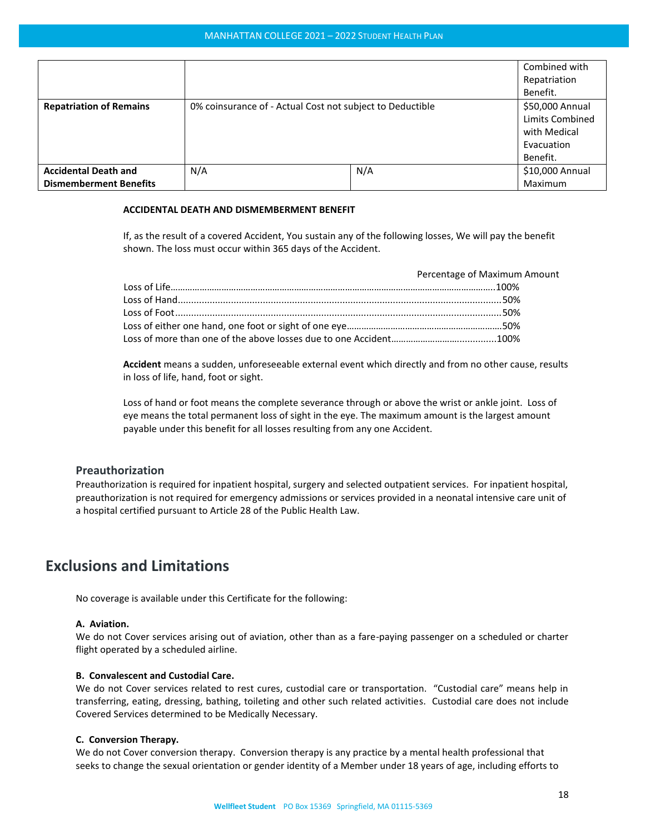|                                                              |                                                           |     | Combined with<br>Repatriation<br>Benefit.                                    |
|--------------------------------------------------------------|-----------------------------------------------------------|-----|------------------------------------------------------------------------------|
| <b>Repatriation of Remains</b>                               | 0% coinsurance of - Actual Cost not subject to Deductible |     | \$50,000 Annual<br>Limits Combined<br>with Medical<br>Evacuation<br>Benefit. |
| <b>Accidental Death and</b><br><b>Dismemberment Benefits</b> | N/A                                                       | N/A | \$10,000 Annual<br>Maximum                                                   |

#### **ACCIDENTAL DEATH AND DISMEMBERMENT BENEFIT**

If, as the result of a covered Accident, You sustain any of the following losses, We will pay the benefit shown. The loss must occur within 365 days of the Accident.

| Percentage of Maximum Amount |
|------------------------------|
|                              |
|                              |
|                              |
|                              |
|                              |

**Accident** means a sudden, unforeseeable external event which directly and from no other cause, results in loss of life, hand, foot or sight.

Loss of hand or foot means the complete severance through or above the wrist or ankle joint. Loss of eye means the total permanent loss of sight in the eye. The maximum amount is the largest amount payable under this benefit for all losses resulting from any one Accident.

#### <span id="page-17-0"></span>**Preauthorization**

Preauthorization is required for inpatient hospital, surgery and selected outpatient services. For inpatient hospital, preauthorization is not required for emergency admissions or services provided in a neonatal intensive care unit of a hospital certified pursuant to Article 28 of the Public Health Law.

# <span id="page-17-1"></span>**Exclusions and Limitations**

No coverage is available under this Certificate for the following:

#### **A. Aviation.**

We do not Cover services arising out of aviation, other than as a fare-paying passenger on a scheduled or charter flight operated by a scheduled airline.

#### **B. Convalescent and Custodial Care.**

We do not Cover services related to rest cures, custodial care or transportation. "Custodial care" means help in transferring, eating, dressing, bathing, toileting and other such related activities. Custodial care does not include Covered Services determined to be Medically Necessary.

#### **C. Conversion Therapy.**

We do not Cover conversion therapy. Conversion therapy is any practice by a mental health professional that seeks to change the sexual orientation or gender identity of a Member under 18 years of age, including efforts to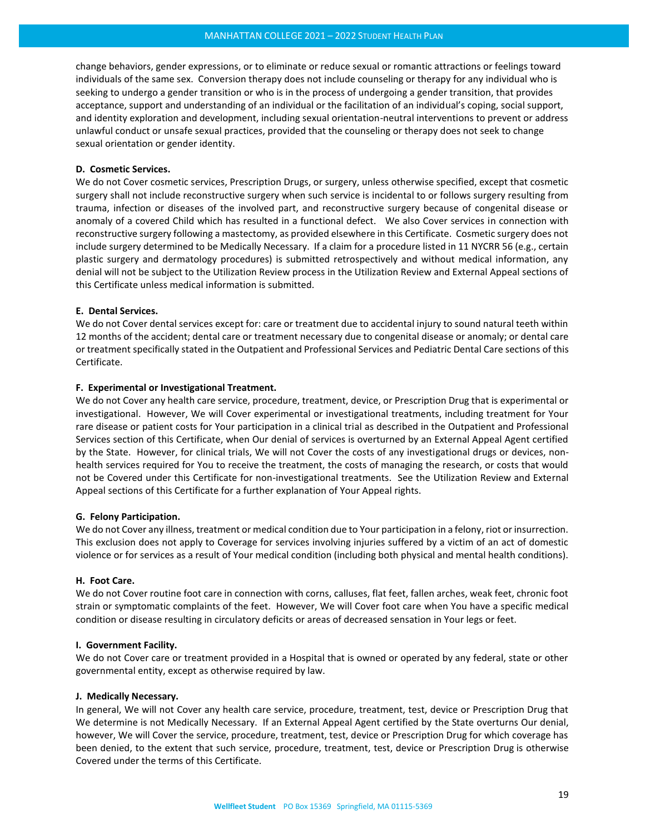change behaviors, gender expressions, or to eliminate or reduce sexual or romantic attractions or feelings toward individuals of the same sex. Conversion therapy does not include counseling or therapy for any individual who is seeking to undergo a gender transition or who is in the process of undergoing a gender transition, that provides acceptance, support and understanding of an individual or the facilitation of an individual's coping, social support, and identity exploration and development, including sexual orientation-neutral interventions to prevent or address unlawful conduct or unsafe sexual practices, provided that the counseling or therapy does not seek to change sexual orientation or gender identity.

#### **D. Cosmetic Services.**

We do not Cover cosmetic services, Prescription Drugs, or surgery, unless otherwise specified, except that cosmetic surgery shall not include reconstructive surgery when such service is incidental to or follows surgery resulting from trauma, infection or diseases of the involved part, and reconstructive surgery because of congenital disease or anomaly of a covered Child which has resulted in a functional defect. We also Cover services in connection with reconstructive surgery following a mastectomy, as provided elsewhere in this Certificate. Cosmetic surgery does not include surgery determined to be Medically Necessary. If a claim for a procedure listed in 11 NYCRR 56 (e.g., certain plastic surgery and dermatology procedures) is submitted retrospectively and without medical information, any denial will not be subject to the Utilization Review process in the Utilization Review and External Appeal sections of this Certificate unless medical information is submitted.

#### **E. Dental Services.**

We do not Cover dental services except for: care or treatment due to accidental injury to sound natural teeth within 12 months of the accident; dental care or treatment necessary due to congenital disease or anomaly; or dental care or treatment specifically stated in the Outpatient and Professional Services and Pediatric Dental Care sections of this Certificate.

#### **F. Experimental or Investigational Treatment.**

We do not Cover any health care service, procedure, treatment, device, or Prescription Drug that is experimental or investigational. However, We will Cover experimental or investigational treatments, including treatment for Your rare disease or patient costs for Your participation in a clinical trial as described in the Outpatient and Professional Services section of this Certificate, when Our denial of services is overturned by an External Appeal Agent certified by the State. However, for clinical trials, We will not Cover the costs of any investigational drugs or devices, nonhealth services required for You to receive the treatment, the costs of managing the research, or costs that would not be Covered under this Certificate for non-investigational treatments. See the Utilization Review and External Appeal sections of this Certificate for a further explanation of Your Appeal rights.

#### **G. Felony Participation.**

We do not Cover any illness, treatment or medical condition due to Your participation in a felony, riot or insurrection. This exclusion does not apply to Coverage for services involving injuries suffered by a victim of an act of domestic violence or for services as a result of Your medical condition (including both physical and mental health conditions).

#### **H. Foot Care.**

We do not Cover routine foot care in connection with corns, calluses, flat feet, fallen arches, weak feet, chronic foot strain or symptomatic complaints of the feet. However, We will Cover foot care when You have a specific medical condition or disease resulting in circulatory deficits or areas of decreased sensation in Your legs or feet.

#### **I. Government Facility.**

We do not Cover care or treatment provided in a Hospital that is owned or operated by any federal, state or other governmental entity, except as otherwise required by law.

#### **J. Medically Necessary.**

In general, We will not Cover any health care service, procedure, treatment, test, device or Prescription Drug that We determine is not Medically Necessary. If an External Appeal Agent certified by the State overturns Our denial, however, We will Cover the service, procedure, treatment, test, device or Prescription Drug for which coverage has been denied, to the extent that such service, procedure, treatment, test, device or Prescription Drug is otherwise Covered under the terms of this Certificate.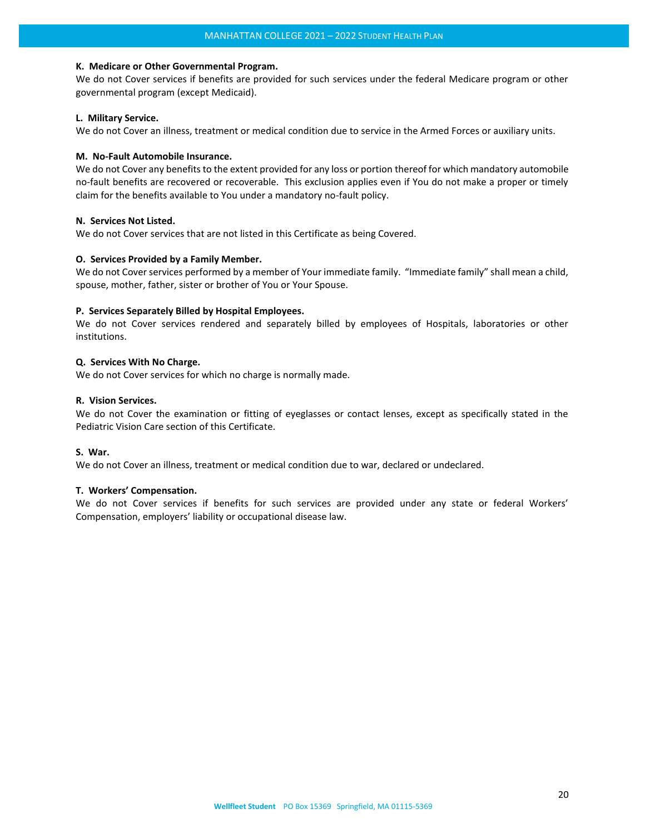#### **K. Medicare or Other Governmental Program.**

We do not Cover services if benefits are provided for such services under the federal Medicare program or other governmental program (except Medicaid).

#### **L. Military Service.**

We do not Cover an illness, treatment or medical condition due to service in the Armed Forces or auxiliary units.

#### **M. No-Fault Automobile Insurance.**

We do not Cover any benefits to the extent provided for any loss or portion thereof for which mandatory automobile no-fault benefits are recovered or recoverable. This exclusion applies even if You do not make a proper or timely claim for the benefits available to You under a mandatory no-fault policy.

#### **N. Services Not Listed.**

We do not Cover services that are not listed in this Certificate as being Covered.

#### **O. Services Provided by a Family Member.**

We do not Cover services performed by a member of Your immediate family. "Immediate family" shall mean a child, spouse, mother, father, sister or brother of You or Your Spouse.

#### **P. Services Separately Billed by Hospital Employees.**

We do not Cover services rendered and separately billed by employees of Hospitals, laboratories or other institutions.

#### **Q. Services With No Charge.**

We do not Cover services for which no charge is normally made.

#### **R. Vision Services.**

We do not Cover the examination or fitting of eyeglasses or contact lenses, except as specifically stated in the Pediatric Vision Care section of this Certificate.

#### **S. War.**

We do not Cover an illness, treatment or medical condition due to war, declared or undeclared.

#### **T. Workers' Compensation.**

We do not Cover services if benefits for such services are provided under any state or federal Workers' Compensation, employers' liability or occupational disease law.